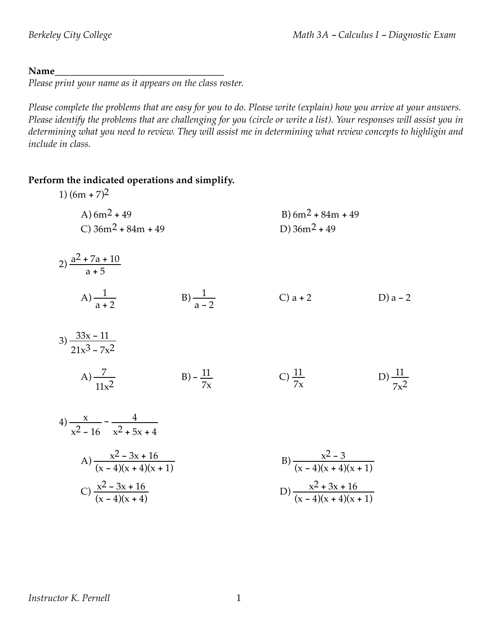#### Name

*Please print your name as it appears on the class roster.*

Please complete the problems that are easy for you to do. Please write (explain) how you arrive at your answers. Please identify the problems that are challenging for you (circle or write a list). Your responses will assist you in determining what you need to review. They will assist me in determining what review concepts to highligin and *include in class.*

#### **Perform the indicated operations and simplify.**

| 1) $(6m + 7)^2$                            |                      |                                         |                      |
|--------------------------------------------|----------------------|-----------------------------------------|----------------------|
| A) $6m^2 + 49$<br>C) $36m^2 + 84m + 49$    |                      | B) $6m^2 + 84m + 49$<br>D) $36m^2 + 49$ |                      |
| 2) $\frac{a^2 + 7a + 10}{a + 5}$           |                      |                                         |                      |
| A) $\frac{1}{a+2}$                         | B) $\frac{1}{a-2}$   | $C$ ) a + 2                             | D) $a - 2$           |
| $3) \frac{33x - 11}{21x^3 - 7x^2}$         |                      |                                         |                      |
| A) $\frac{7}{11x^2}$                       | $B) - \frac{11}{7x}$ | C) $\frac{11}{7x}$                      | D) $\frac{11}{7x^2}$ |
| 4) $\frac{x}{x^2-16} - \frac{4}{x^2+5x+4}$ |                      |                                         |                      |
| A) $\frac{x^2-3x+16}{(x-4)(x+4)(x+1)}$     |                      | B) $\frac{x^2-3}{(x-4)(x+4)(x+1)}$      |                      |
| C) $\frac{x^2-3x+16}{(x-4)(x+4)}$          |                      | D) $\frac{x^2+3x+16}{(x-4)(x+4)(x+1)}$  |                      |

#### *Instructor K. Pernell* 1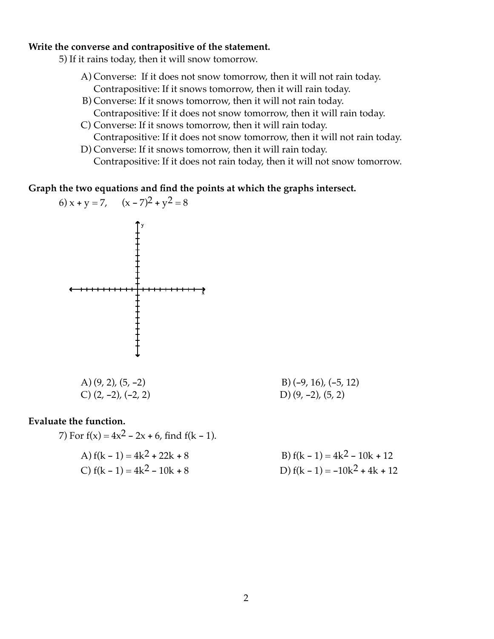#### **Write the converse and contrapositive of the statement.**

- 5) If it rains today, then it will snow tomorrow.
	- A) Converse: If it does not snow tomorrow, then it will not rain today. Contrapositive: If it snows tomorrow, then it will rain today.
	- B) Converse: If it snows tomorrow, then it will not rain today. Contrapositive: If it does not snow tomorrow, then it will rain today.
	- C) Converse: If it snows tomorrow, then it will rain today. Contrapositive: If it does not snow tomorrow, then it will not rain today.
	- D) Converse: If it snows tomorrow, then it will rain today. Contrapositive: If it does not rain today, then it will not snow tomorrow.

**Graph the two equations and find the points at which the graphs intersect.**

6) 
$$
x + y = 7
$$
,  $(x - 7)^2 + y^2 = 8$ 

\n A) 
$$
(9, 2), (5, -2)
$$
  
\n B)  $(-9, 16), (-5, 12)$   
\n C)  $(2, -2), (-2, 2)$   
\n D)  $(9, -2), (5, 2)$ \n

#### **Evaluate the function.**

7) For 
$$
f(x) = 4x^2 - 2x + 6
$$
, find  $f(k - 1)$ .  
A)  $f(k - 1) = 4k^2 + 22k + 8$ 

B)  $f(k - 1) = 4k^2 - 10k + 12$ C)  $f(k-1) = 4k^2 - 10k + 8$  D)  $f(k-1) = -10k^2 + 4k + 12$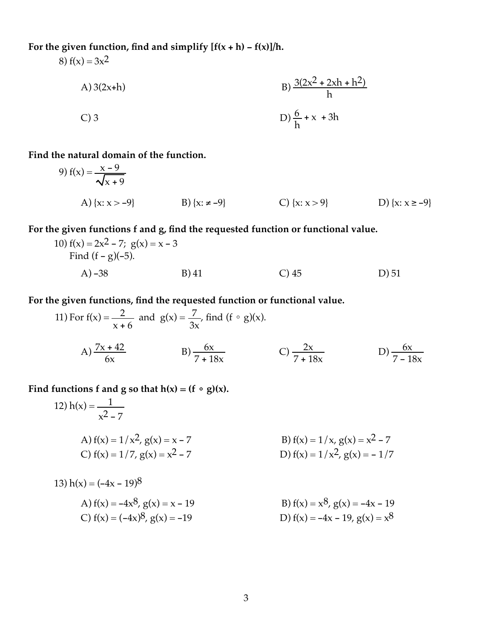## **For the given function, find and simplify [f(x** + **h)** - **f(x)]/h.**

8)  $f(x) = 3x^2$ 

A) 3(2x+h)  
B) 
$$
\frac{3(2x^2 + 2xh + h^2)}{h}
$$
  
C) 3  
D)  $\frac{6}{h} + x + 3h$ 

#### **Find the natural domain of the function.**

9) 
$$
f(x) = \frac{x-9}{\sqrt{x+9}}
$$
  
A)  $\{x: x > -9\}$   
B)  $\{x: \neq -9\}$   
C)  $\{x: x > 9\}$   
D)  $\{x: x \ge -9\}$ 

### **For the given functions f and g, find the requested function or functional value.**

10) 
$$
f(x) = 2x^2 - 7
$$
;  $g(x) = x - 3$   
Find  $(f - g)(-5)$ .  
A) -38  
B) 41  
C) 45  
D) 51

#### **For the given functions, find the requested function or functional value.**

11) For f(x) = 
$$
\frac{2}{x+6}
$$
 and g(x) =  $\frac{7}{3x}$ , find (f  $\circ$  g)(x).  
A)  $\frac{7x+42}{6x}$  \tB)  $\frac{6x}{7+18x}$  \tC)  $\frac{2x}{7+18x}$  \tD)  $\frac{6x}{7-18x}$ 

### Find functions **f** and **g** so that  $h(x) = (f \circ g)(x)$ .

12) 
$$
h(x) = \frac{1}{x^2 - 7}
$$
  
\nA)  $f(x) = 1/x^2$ ,  $g(x) = x - 7$   
\nB)  $f(x) = 1/x$ ,  $g(x) = x^2 - 7$   
\nC)  $f(x) = 1/7$ ,  $g(x) = x^2 - 7$   
\nD)  $f(x) = 1/x^2$ ,  $g(x) = -1/7$ 

13) 
$$
h(x) = (-4x - 19)^8
$$
  
\nA)  $f(x) = -4x^8$ ,  $g(x) = x - 19$   
\nB)  $f(x) = x^8$ ,  $g(x) = -4x - 19$   
\nC)  $f(x) = (-4x)^8$ ,  $g(x) = -19$   
\nD)  $f(x) = -4x - 19$ ,  $g(x) = x^8$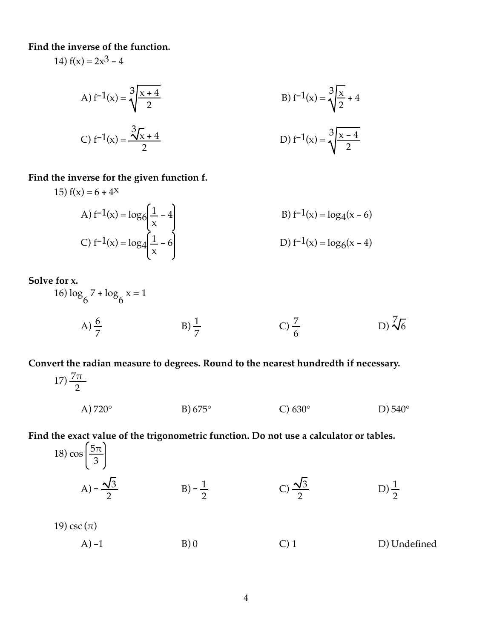**Find the inverse of the function.**

14)  $f(x) = 2x^3 - 4$ 

A) 
$$
f^{-1}(x) = \sqrt[3]{\frac{x+4}{2}}
$$
  
\nB)  $f^{-1}(x) = \sqrt[3]{\frac{x}{2} + 4}$   
\nC)  $f^{-1}(x) = \frac{\sqrt[3]{x} + 4}{2}$   
\nD)  $f^{-1}(x) = \sqrt[3]{\frac{x-4}{2}}$ 

#### **Find the inverse for the given function f.**

15) 
$$
f(x) = 6 + 4^x
$$
  
\nA)  $f^{-1}(x) = \log_6 \left( \frac{1}{x} - 4 \right)$   
\nB)  $f^{-1}(x) = \log_4 (x - 6)$   
\nC)  $f^{-1}(x) = \log_4 \left( \frac{1}{x} - 6 \right)$   
\nD)  $f^{-1}(x) = \log_6 (x - 4)$ 

**Solve for x.**

16) 
$$
\log_{6} 7 + \log_{6} x = 1
$$
  
\nA)  $\frac{6}{7}$   
\nB)  $\frac{1}{7}$   
\nC)  $\frac{7}{6}$   
\nD)  $\sqrt[7]{6}$ 

**Convert the radian measure to degrees. Round to the nearest hundredth if necessary.**

17) 
$$
\frac{7\pi}{2}
$$
  
\nA) 720°  
\nB) 675°  
\nC) 630°  
\nD) 540°

# **Find the exact value of the trigonometric function. Do not use a calculator or tables.**

18) 
$$
\cos\left(\frac{5\pi}{3}\right)
$$
  
\nA)  $-\frac{\sqrt{3}}{2}$   
\nB)  $-\frac{1}{2}$   
\nC)  $\frac{\sqrt{3}}{2}$   
\nD)  $\frac{1}{2}$   
\nD)  $\frac{1}{2}$   
\n19)  $\csc(\pi)$   
\nA) -1  
\nB) 0  
\nC) 1  
\nD) Undefined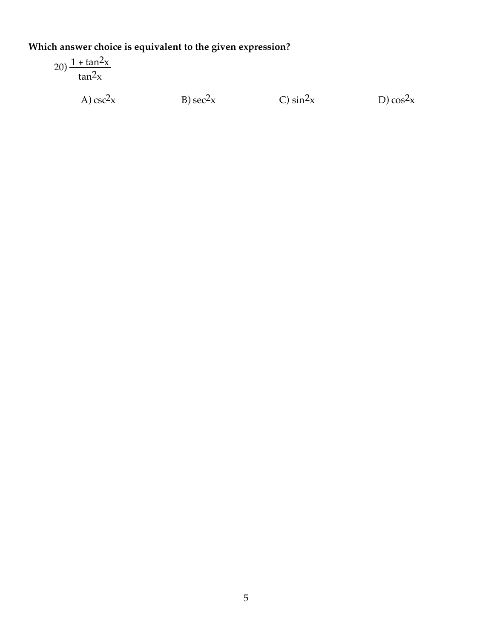# Which answer choice is equivalent to the given expression?

$$
20) \frac{1 + \tan^2 x}{\tan^2 x}
$$

A)  $\csc^2 x$ 

 $B)$  sec<sup>2</sup> $x$ 

C)  $\sin^2 x$ 

D)  $\cos^2 x$